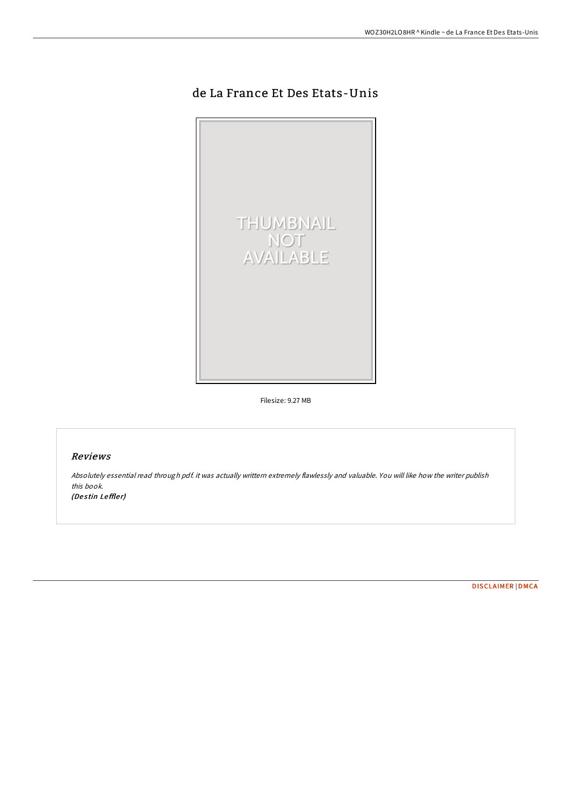# de La France Et Des Etats-Unis



Filesize: 9.27 MB

## Reviews

Absolutely essential read through pdf. it was actually writtern extremely flawlessly and valuable. You will like how the writer publish this book.

(Destin Leffler)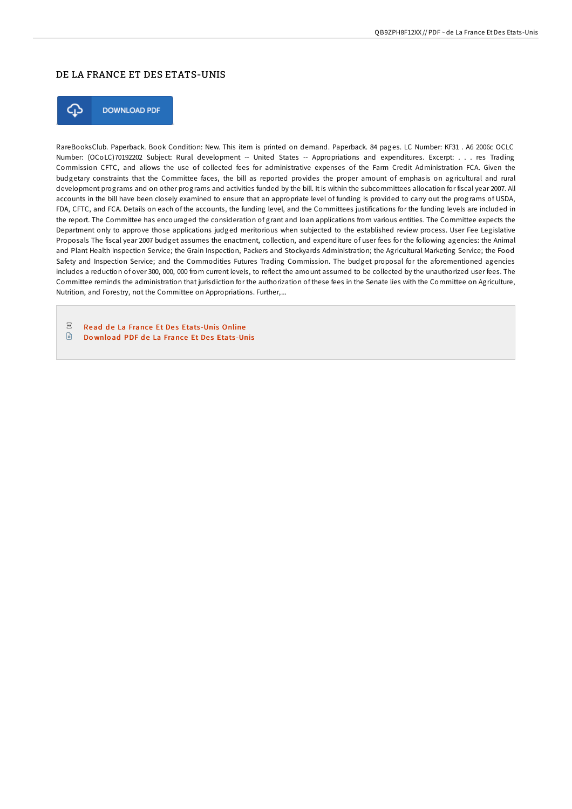### DE LA FRANCE ET DES ETATS-UNIS



**DOWNLOAD PDF** 

RareBooksClub. Paperback. Book Condition: New. This item is printed on demand. Paperback. 84 pages. LC Number: KF31 . A6 2006c OCLC Number: (OCoLC)70192202 Subject: Rural development -- United States -- Appropriations and expenditures. Excerpt: . . . res Trading Commission CFTC, and allows the use of collected fees for administrative expenses of the Farm Credit Administration FCA. Given the budgetary constraints that the Committee faces, the bill as reported provides the proper amount of emphasis on agricultural and rural development programs and on other programs and activities funded by the bill. It is within the subcommittees allocation for fiscal year 2007. All accounts in the bill have been closely examined to ensure that an appropriate level of funding is provided to carry out the programs of USDA, FDA, CFTC, and FCA. Details on each of the accounts, the funding level, and the Committees justifications for the funding levels are included in the report. The Committee has encouraged the consideration of grant and loan applications from various entities. The Committee expects the Department only to approve those applications judged meritorious when subjected to the established review process. User Fee Legislative Proposals The fiscal year 2007 budget assumes the enactment, collection, and expenditure of user fees for the following agencies: the Animal and Plant Health Inspection Service; the Grain Inspection, Packers and Stockyards Administration; the Agricultural Marketing Service; the Food Safety and Inspection Service; and the Commodities Futures Trading Commission. The budget proposal for the aforementioned agencies includes a reduction of over 300, 000, 000 from current levels, to reflect the amount assumed to be collected by the unauthorized user fees. The Committee reminds the administration that jurisdiction for the authorization of these fees in the Senate lies with the Committee on Agriculture, Nutrition, and Forestry, not the Committee on Appropriations. Further,...

 $_{\rm PDF}$ Read de La [France](http://almighty24.tech/de-la-france-et-des-etats-unis.html) Et Des Etats-Unis Online

 $\Box$ Do wnload PDF de La [France](http://almighty24.tech/de-la-france-et-des-etats-unis.html) Et Des Etats-Unis